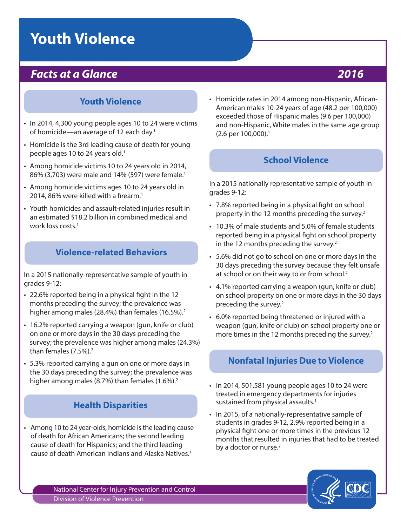# **Youth Violence**

# *Facts at a Glance 2016*

#### **Youth Violence**

- In 2014, 4,300 young people ages 10 to 24 were victims of homicide—an average of 12 each day.<sup>1</sup>
- Homicide is the 3rd leading cause of death for young people ages 10 to 24 years old.<sup>1</sup>
- Among homicide victims 10 to 24 years old in 2014, 86% (3,703) were male and 14% (597) were female.<sup>1</sup>
- Among homicide victims ages 10 to 24 years old in 2014, 86% were killed with a firearm.<sup>1</sup>
- Youth homicides and assault-related injuries result in an estimated \$18.2 billion in combined medical and work loss costs.<sup>1</sup>

#### **Violence-related Behaviors**

In a 2015 nationally-representative sample of youth in grades 9-12:

- 22.6% reported being in a physical fght in the 12 months preceding the survey; the prevalence was higher among males (28.4%) than females (16.5%).<sup>2</sup>
- 16.2% reported carrying a weapon (gun, knife or club) on one or more days in the 30 days preceding the survey; the prevalence was higher among males (24.3%) than females (7.5%).<sup>2</sup>
- 5.3% reported carrying a gun on one or more days in the 30 days preceding the survey; the prevalence was higher among males (8.7%) than females (1.6%).<sup>2</sup>

#### **Health Disparities**

• Among 10 to 24 year-olds, homicide is the leading cause of death for African Americans; the second leading cause of death for Hispanics; and the third leading cause of death American Indians and Alaska Natives.1

• Homicide rates in 2014 among non-Hispanic, African-American males 10-24 years of age (48.2 per 100,000) exceeded those of Hispanic males (9.6 per 100,000) and non-Hispanic, White males in the same age group (2.6 per 100,000).1

### **School Violence**

In a 2015 nationally representative sample of youth in grades 9-12:

- 7.8% reported being in a physical fght on school property in the 12 months preceding the survey.2
- 10.3% of male students and 5.0% of female students reported being in a physical fight on school property in the 12 months preceding the survey. $2$
- 5.6% did not go to school on one or more days in the 30 days preceding the survey because they felt unsafe at school or on their way to or from school.<sup>2</sup>
- 4.1% reported carrying a weapon (gun, knife or club) on school property on one or more days in the 30 days preceding the survey.2
- 6.0% reported being threatened or injured with a weapon (gun, knife or club) on school property one or more times in the 12 months preceding the survey.<sup>2</sup>

#### **Nonfatal Injuries Due to Violence**

- In 2014, 501,581 young people ages 10 to 24 were treated in emergency departments for injuries sustained from physical assaults.<sup>1</sup>
- In 2015, of a nationally-representative sample of students in grades 9-12, 2.9% reported being in a physical fght one or more times in the previous 12 months that resulted in injuries that had to be treated by a doctor or nurse.<sup>2</sup>



National Center for Injury Prevention and Control Division of Violence Prevention